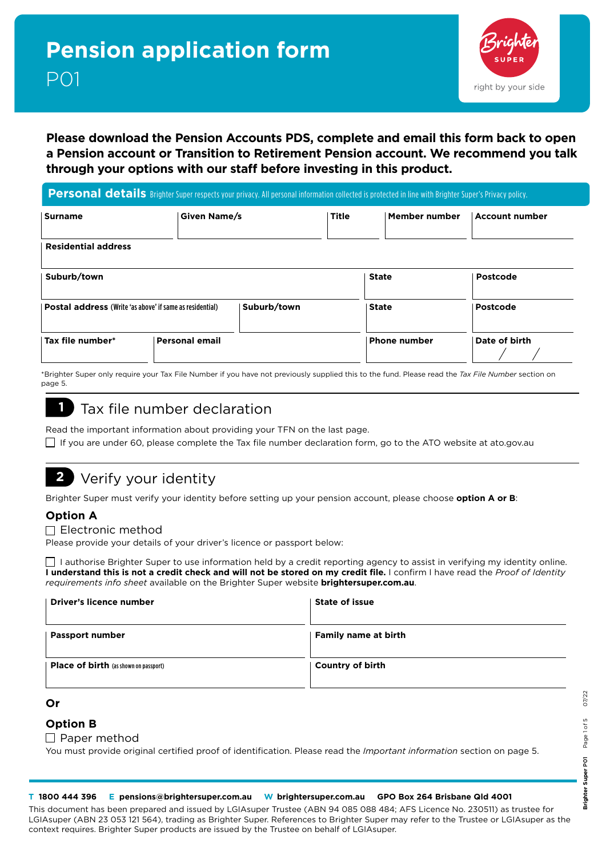

### **Please download the Pension Accounts PDS, complete and email this form back to open a Pension account or Transition to Retirement Pension account. We recommend you talk through your options with our staff before investing in this product.**

#### Personal details Brighter Super respects your privacy. All personal information collected is protected in line with Brighter Super's Privacy policy.

| <b>Surname</b>                                           | Given Name/s          |             | <b>Title</b> | Member number       | <b>Account number</b> |
|----------------------------------------------------------|-----------------------|-------------|--------------|---------------------|-----------------------|
| <b>Residential address</b>                               |                       |             |              |                     |                       |
| Suburb/town                                              |                       |             |              | <b>State</b>        | Postcode              |
| Postal address (Write 'as above' if same as residential) |                       | Suburb/town |              | <b>State</b>        | Postcode              |
| Tax file number*                                         | <b>Personal email</b> |             |              | <b>Phone number</b> | Date of birth         |

\*Brighter Super only require your Tax File Number if you have not previously supplied this to the fund. Please read the *Tax File Number* section on page 5.

### **1** Tax file number declaration

| Read the important information about providing your TFN on the last page.                                        |
|------------------------------------------------------------------------------------------------------------------|
| □ If you are under 60, please complete the Tax file number declaration form, go to the ATO website at ato.gov.au |

### **2** Verify your identity

Brighter Super must verify your identity before setting up your pension account, please choose **option A or B**:

#### **Option A**

 $\Box$  Electronic method

Please provide your details of your driver's licence or passport below:

 $\Box$  I authorise Brighter Super to use information held by a credit reporting agency to assist in verifying my identity online. **I understand this is not a credit check and will not be stored on my credit file.** I confirm I have read the *[Proof of Identity](http://bit.ly/1XgcPVa)  [requirements info sheet](http://bit.ly/1XgcPVa)* available on the Brighter Super website **[brightersuper.com.au](https://www.lgiasuper.com.au/assets/Uploads/Files/Update-your-details/Proof-of-identity-requirements-info-sheet.pdf)**.

| Driver's licence number                      | State of issue          |
|----------------------------------------------|-------------------------|
| <b>Passport number</b>                       | Family name at birth    |
| <b>Place of birth</b> (as shown on passport) | <b>Country of birth</b> |

#### **Or**

#### **Option B**

#### $\Box$  Paper method

You must provide original certified proof of identification. Please read the *Important information* section on page 5.

#### **T 1800 444 396 E pensions@brightersuper.com.au W brightersuper.com.au GPO Box 264 Brisbane Qld 4001**

This document has been prepared and issued by LGIAsuper Trustee (ABN 94 085 088 484; AFS Licence No. 230511) as trustee for LGIAsuper (ABN 23 053 121 564), trading as Brighter Super. References to Brighter Super may refer to the Trustee or LGIAsuper as the context requires. Brighter Super products are issued by the Trustee on behalf of LGIAsuper.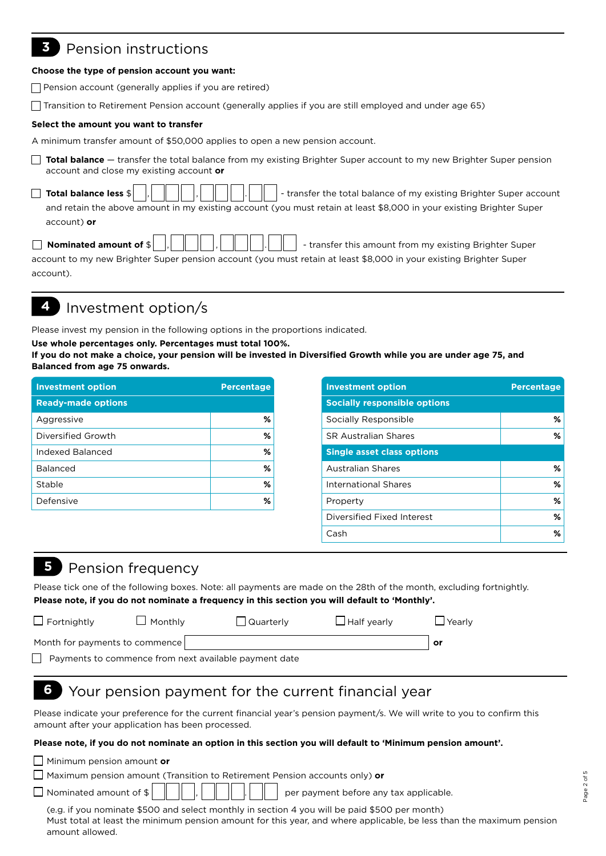## **3** Pension instructions

#### **Choose the type of pension account you want:**

 $\Box$  Pension account (generally applies if you are retired)

Transition to Retirement Pension account (generally applies if you are still employed and under age 65)

#### **Select the amount you want to transfer**

A minimum transfer amount of \$50,000 applies to open a new pension account.

**Total balance** — transfer the total balance from my existing Brighter Super account to my new Brighter Super pension account and close my existing account **or**

| and retain the above amount in my existing account (you must retain at least \$8,000 in your existing Brighter Super |
|----------------------------------------------------------------------------------------------------------------------|
| account) or                                                                                                          |
|                                                                                                                      |

| account to my new Brighter Super pension account (you must retain at least \$8,000 in your existing Brighter Super |  |
|--------------------------------------------------------------------------------------------------------------------|--|
| account).                                                                                                          |  |

# **4** Investment option/s

Please invest my pension in the following options in the proportions indicated.

#### **Use whole percentages only. Percentages must total 100%.**

**If you do not make a choice, your pension will be invested in Diversified Growth while you are under age 75, and Balanced from age 75 onwards.**

| <b>Investment option</b>  | <b>Percentage</b> |
|---------------------------|-------------------|
| <b>Ready-made options</b> |                   |
| Aggressive                | %                 |
| Diversified Growth        | ℅                 |
| Indexed Balanced          | ℅                 |
| <b>Balanced</b>           | ℅                 |
| Stable                    | ℅                 |
| Defensive                 | %                 |

| <b>Investment option</b>            | <b>Percentage</b> |
|-------------------------------------|-------------------|
| <b>Socially responsible options</b> |                   |
| Socially Responsible                | %                 |
| <b>SR Australian Shares</b>         | ℅                 |
| <b>Single asset class options</b>   |                   |
| <b>Australian Shares</b>            | ℅                 |
| <b>International Shares</b>         | %                 |
| Property                            | %                 |
| Diversified Fixed Interest          | %                 |
| Cash                                | ℅                 |

### **5** Pension frequency

Please tick one of the following boxes. Note: all payments are made on the 28th of the month, excluding fortnightly. **Please note, if you do not nominate a frequency in this section you will default to 'Monthly'.**

| $\Box$ Fortnightly             | $\Box$ Monthly                                        | □ Quarterly | $\Box$ Half yearly | $\Box$ Yearly |
|--------------------------------|-------------------------------------------------------|-------------|--------------------|---------------|
| Month for payments to commence |                                                       |             |                    | or            |
|                                | Payments to commence from next available payment date |             |                    |               |

### **6** Your pension payment for the current financial year

Please indicate your preference for the current financial year's pension payment/s. We will write to you to confirm this amount after your application has been processed.

#### **Please note, if you do not nominate an option in this section you will default to 'Minimum pension amount'.**

Minimum pension amount **or**

Maximum pension amount (Transition to Retirement Pension accounts only) **or**

 $\Box$  Nominated amount of  $\sharp \begin{bmatrix} \parallel & \parallel & \end{bmatrix}$   $\parallel \Box \parallel \parallel \bot \parallel \parallel \parallel$  per payment before any tax applicable.

(e.g. if you nominate \$500 and select monthly in section 4 you will be paid \$500 per month) Must total at least the minimum pension amount for this year, and where applicable, be less than the maximum pension amount allowed.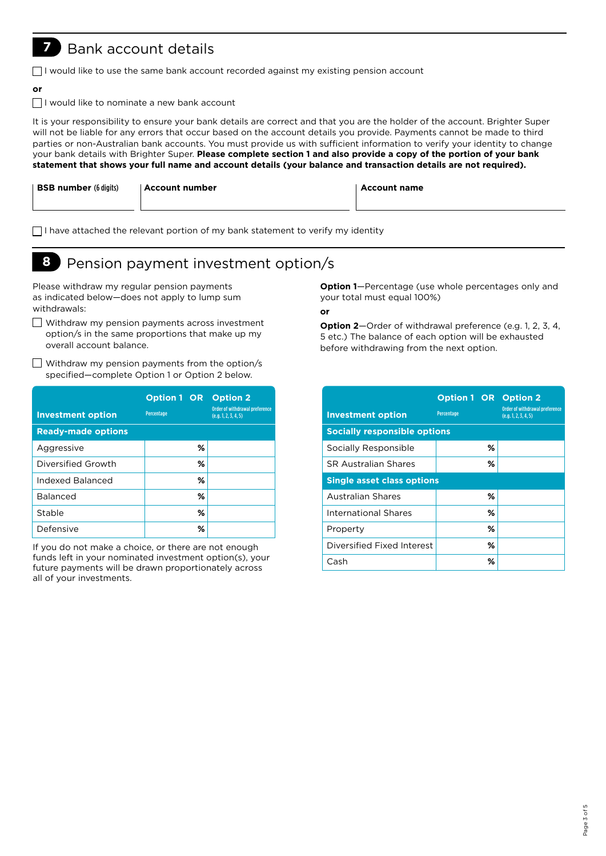### **7** Bank account details

 $\Box$ I would like to use the same bank account recorded against my existing pension account

#### **or**

 $\Box$  I would like to nominate a new bank account

It is your responsibility to ensure your bank details are correct and that you are the holder of the account. Brighter Super will not be liable for any errors that occur based on the account details you provide. Payments cannot be made to third parties or non-Australian bank accounts. You must provide us with sufficient information to verify your identity to change your bank details with Brighter Super. **Please complete section 1 and also provide a copy of the portion of your bank statement that shows your full name and account details (your balance and transaction details are not required).**

| <b>BSB number</b> (6 digits) | ∣ Account number | <b>Account name</b> |
|------------------------------|------------------|---------------------|
|                              |                  |                     |

 $\Box$ I have attached the relevant portion of my bank statement to verify my identity

# **8** Pension payment investment option/s

Please withdraw my regular pension payments as indicated below—does not apply to lump sum withdrawals:

- Withdraw my pension payments across investment option/s in the same proportions that make up my overall account balance.
- $\Box$  Withdraw my pension payments from the option/s specified—complete Option 1 or Option 2 below.

| <b>Investment option</b><br><b>Ready-made options</b> | <b>Option 1 OR</b><br>Percentage |   | <b>Option 2</b><br>Order of withdrawal preference<br>(e.g. 1, 2, 3, 4, 5) |
|-------------------------------------------------------|----------------------------------|---|---------------------------------------------------------------------------|
| Aggressive                                            |                                  | ℅ |                                                                           |
| Diversified Growth                                    |                                  | ℅ |                                                                           |
| Indexed Balanced                                      |                                  | % |                                                                           |
| <b>Balanced</b>                                       |                                  | % |                                                                           |
| Stable                                                |                                  | ℅ |                                                                           |
| Defensive                                             |                                  | % |                                                                           |

If you do not make a choice, or there are not enough funds left in your nominated investment option(s), your future payments will be drawn proportionately across all of your investments.

**Option 1**—Percentage (use whole percentages only and your total must equal 100%)

**or**

**Option 2**—Order of withdrawal preference (e.g. 1, 2, 3, 4, 5 etc.) The balance of each option will be exhausted before withdrawing from the next option.

| <b>Investment option</b>            | <b>Option 1 OR Option 2</b><br>Percentage | <b>Order of withdrawal preference</b><br>(e.g. 1, 2, 3, 4, 5) |
|-------------------------------------|-------------------------------------------|---------------------------------------------------------------|
| <b>Socially responsible options</b> |                                           |                                                               |
| Socially Responsible                | ℅                                         |                                                               |
| <b>SR Australian Shares</b>         | ℅                                         |                                                               |
| <b>Single asset class options</b>   |                                           |                                                               |
| Australian Shares                   | ℅                                         |                                                               |
| International Shares                | ℅                                         |                                                               |
| Property                            | ℅                                         |                                                               |
| Diversified Fixed Interest          | ℅                                         |                                                               |
| Cash                                | %                                         |                                                               |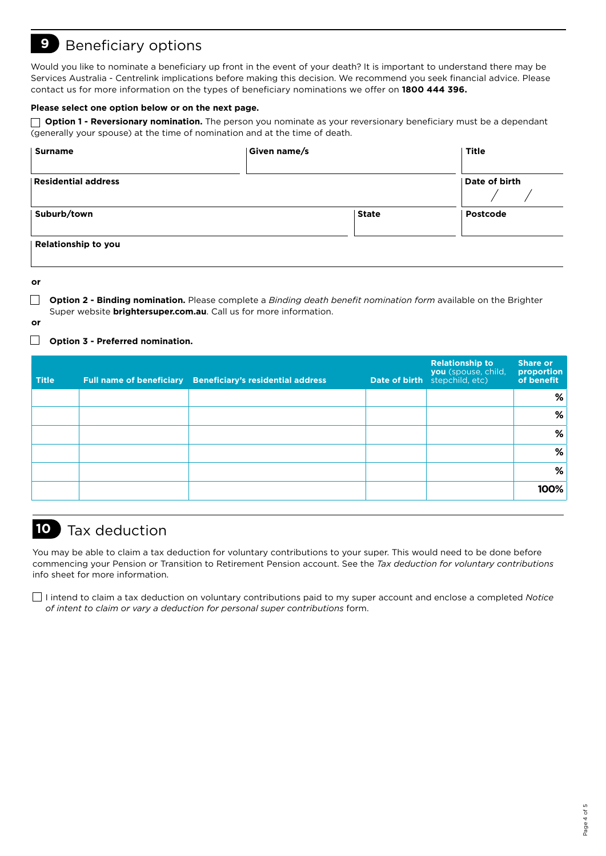### **9** Beneficiary options

Would you like to nominate a beneficiary up front in the event of your death? It is important to understand there may be Services Australia - Centrelink implications before making this decision. We recommend you seek financial advice. Please contact us for more information on the types of beneficiary nominations we offer on **1800 444 396.**

#### **Please select one option below or on the next page.**

 **Option 1 - Reversionary nomination.** The person you nominate as your reversionary beneficiary must be a dependant (generally your spouse) at the time of nomination and at the time of death.

| <b>Surname</b>             | Given name/s |              | Title         |
|----------------------------|--------------|--------------|---------------|
| <b>Residential address</b> |              |              | Date of birth |
| Suburb/town                |              | <b>State</b> | Postcode      |
| Relationship to you        |              |              |               |

**or** 

 **Option 2 - Binding nomination.** Please complete a *Binding death benefit nomination form* available on the Brighter Super website **b[rightersuper.com.au](http://www.lgiasuper.com.au)**. Call us for more information.

**or**

#### **Option 3 - Preferred nomination.**

| <b>Title</b> | Full name of beneficiary Beneficiary's residential address | <b>Relationship to</b><br>you (spouse, child,<br>Date of birth stepchild, etc) | <b>Share or</b><br>proportion<br>of benefit |
|--------------|------------------------------------------------------------|--------------------------------------------------------------------------------|---------------------------------------------|
|              |                                                            |                                                                                | %                                           |
|              |                                                            |                                                                                | %                                           |
|              |                                                            |                                                                                | %                                           |
|              |                                                            |                                                                                | %                                           |
|              |                                                            |                                                                                | %                                           |
|              |                                                            |                                                                                | 100%                                        |

# **10** Tax deduction

You may be able to claim a tax deduction for voluntary contributions to your super. This would need to be done before commencing your Pension or Transition to Retirement Pension account. See the *Tax deduction for voluntary contributions* info sheet for more information.

I intend to claim a tax deduction on voluntary contributions paid to my super account and enclose a completed *Notice of intent to claim or vary a deduction for personal super contributions* form.